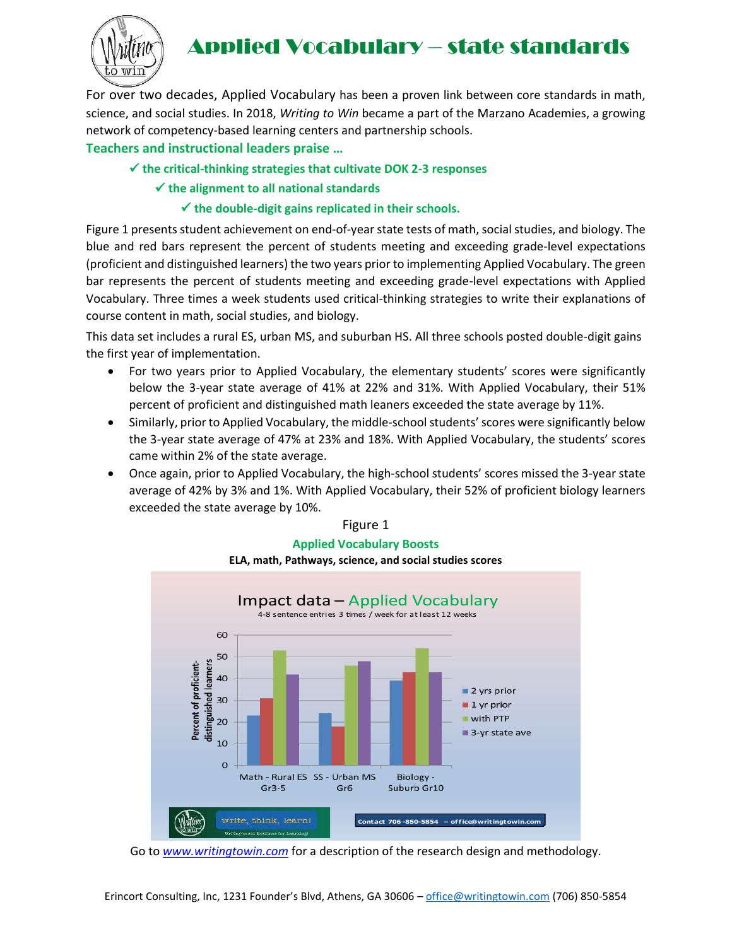

# Applied Vocabulary – state standards

For over two decades, Applied Vocabulary has been a proven link between core standards in math, science, and social studies. In 2018, *Writing to Win* became a part of the Marzano Academies, a growing network of competency-based learning centers and partnership schools.

## **Teachers and instructional leaders praise …**

## ✓ **the critical-thinking strategies that cultivate DOK 2-3 responses**

✓ **the alignment to all national standards**

## ✓ **the double-digit gains replicated in their schools.**

Figure 1 presents student achievement on end-of-year state tests of math, social studies, and biology. The blue and red bars represent the percent of students meeting and exceeding grade-level expectations (proficient and distinguished learners) the two years prior to implementing Applied Vocabulary. The green bar represents the percent of students meeting and exceeding grade-level expectations with Applied Vocabulary. Three times a week students used critical-thinking strategies to write their explanations of course content in math, social studies, and biology.

This data set includes a rural ES, urban MS, and suburban HS. All three schools posted double-digit gains the first year of implementation.

- For two years prior to Applied Vocabulary, the elementary students' scores were significantly below the 3-year state average of 41% at 22% and 31%. With Applied Vocabulary, their 51% percent of proficient and distinguished math leaners exceeded the state average by 11%.
- Similarly, prior to Applied Vocabulary, the middle-school students' scores were significantly below the 3-year state average of 47% at 23% and 18%. With Applied Vocabulary, the students' scores came within 2% of the state average.
- Once again, prior to Applied Vocabulary, the high-school students' scores missed the 3-year state average of 42% by 3% and 1%. With Applied Vocabulary, their 52% of proficient biology learners exceeded the state average by 10%.

#### Figure 1

#### **Applied Vocabulary Boosts**

**ELA, math, Pathways, science, and social studies scores**



Go to *[www.writingtowin.com](http://www.writingtowin.com/)* for a description of the research design and methodology.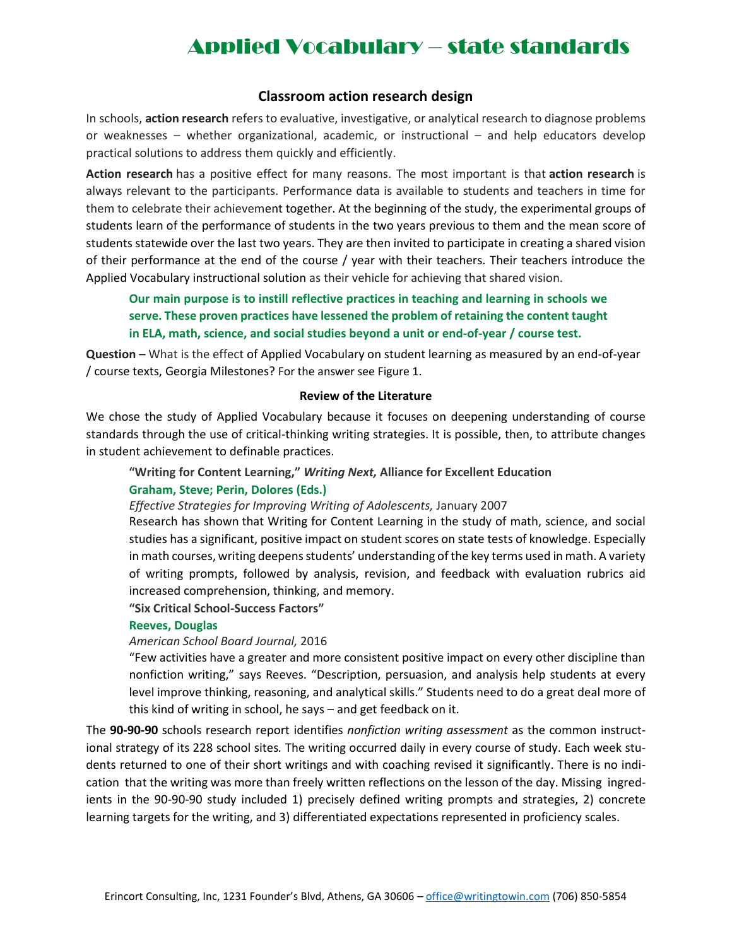## Applied Vocabulary – state standards

### **Classroom action research design**

In schools, **action research** refers to evaluative, investigative, or analytical research to diagnose problems or weaknesses – whether organizational, academic, or instructional – and help educators develop practical solutions to address them quickly and efficiently.

**Action research** has a positive effect for many reasons. The most important is that **action research** is always relevant to the participants. Performance data is available to students and teachers in time for them to celebrate their achievement together. At the beginning of the study, the experimental groups of students learn of the performance of students in the two years previous to them and the mean score of students statewide over the last two years. They are then invited to participate in creating a shared vision of their performance at the end of the course / year with their teachers. Their teachers introduce the Applied Vocabulary instructional solution as their vehicle for achieving that shared vision.

**Our main purpose is to instill reflective practices in teaching and learning in schools we serve. These proven practices have lessened the problem of retaining the content taught in ELA, math, science, and social studies beyond a unit or end-of-year / course test.** 

**Question –** What is the effect of Applied Vocabulary on student learning as measured by an end-of-year / course texts, Georgia Milestones? For the answer see Figure 1.

#### **Review of the Literature**

We chose the study of Applied Vocabulary because it focuses on deepening understanding of course standards through the use of critical-thinking writing strategies. It is possible, then, to attribute changes in student achievement to definable practices.

## **"Writing for Content Learning,"** *Writing Next,* **Alliance for Excellent Education**

### **Graham, Steve; Perin, Dolores (Eds.)**

*Effective Strategies for Improving Writing of Adolescents,* January 2007

[Research](http://eric.ed.gov/?id=EJ1094210) has shown that Writing for Content Learning in the study of math, science, and social studies has a significant, positive impact on student scores on state tests of knowledge. Especially in math courses, writing deepens students' understanding of the key terms used in math. A variety of writing prompts, followed by analysis, revision, and feedback with evaluation rubrics [aid](http://www.aft.org/periodical/american-educator/spring-2006/how-knowledge-helps) increased [comprehension, thinking, and memory.](http://www.aft.org/periodical/american-educator/spring-2006/how-knowledge-helps)

### **"Six Critical School-Success Factors"**

#### **Reeves, Douglas**

#### *American School Board Journal,* 2016

"Few activities have a greater and more consistent positive impact on every other discipline than nonfiction writing," says Reeves. "Description, persuasion, and analysis help students at every level improve thinking, reasoning, and analytical skills." Students need to do a great deal more of this kind of writing in school, he says – and get feedback on it.

The **90-90-90** schools research report identifies *nonfiction writing assessment* as the common instructional strategy of its 228 school sites*.* The writing occurred daily in every course of study. Each week students returned to one of their short writings and with coaching revised it significantly. There is no indication that the writing was more than freely written reflections on the lesson of the day. Missing ingredients in the 90-90-90 study included 1) precisely defined writing prompts and strategies, 2) concrete learning targets for the writing, and 3) differentiated expectations represented in proficiency scales.